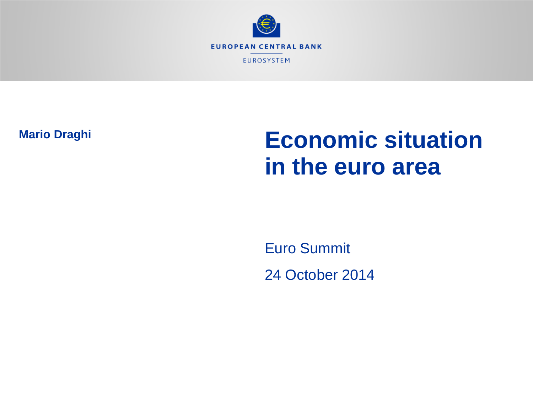

**Mario Draghi**

# **Economic situation in the euro area**

Euro Summit 24 October 2014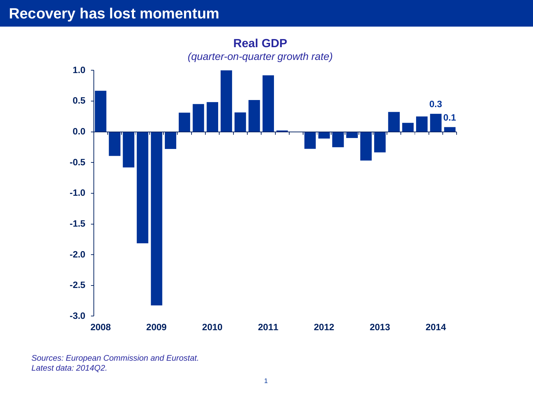#### **Recovery has lost momentum**



*Sources: European Commission and Eurostat. Latest data: 2014Q2.*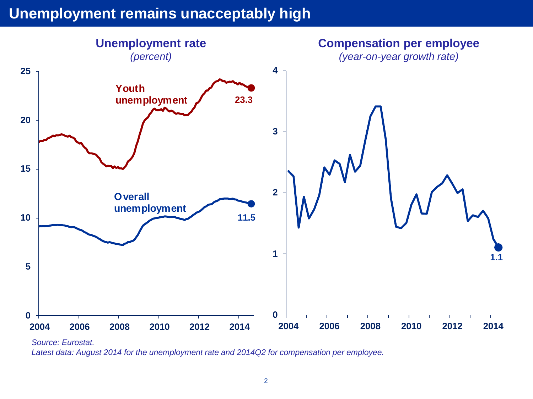#### **Unemployment remains unacceptably high**



*Source: Eurostat.*

*Latest data: August 2014 for the unemployment rate and 2014Q2 for compensation per employee.*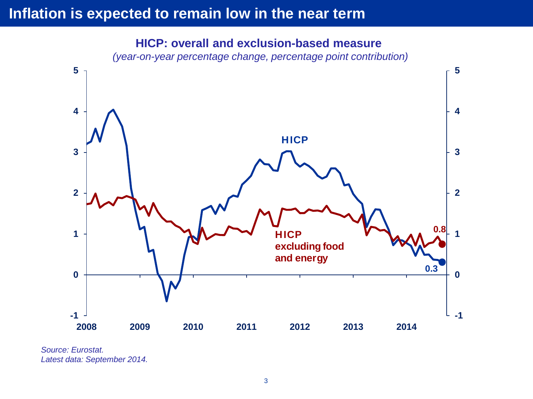# **Inflation is expected to remain low in the near term**



**HICP: overall and exclusion-based measure**  *(year-on-year percentage change, percentage point contribution)*

*Source: Eurostat. Latest data: September 2014.*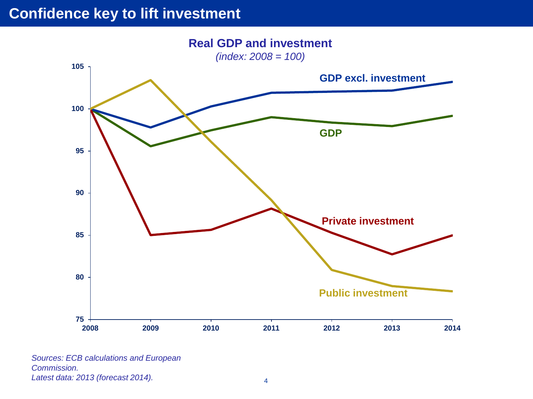## **Confidence key to lift investment**



*Sources: ECB calculations and European Commission. Latest data: 2013 (forecast 2014).* <sup>4</sup>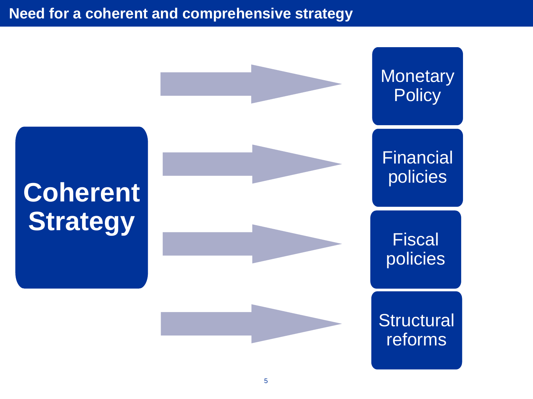# **Need for a coherent and comprehensive strategy**

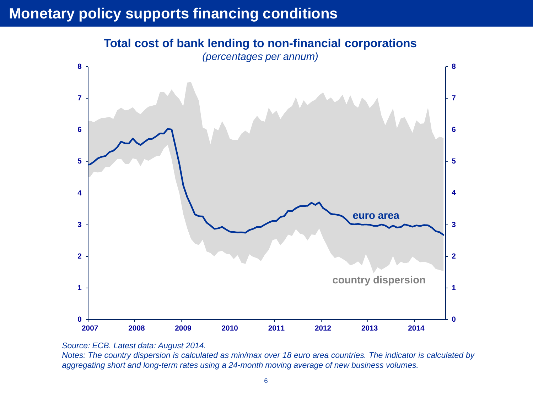# **Monetary policy supports financing conditions**



**Total cost of bank lending to non-financial corporations**

*Source: ECB. Latest data: August 2014.*

Notes: The country dispersion is calculated as min/max over 18 euro area countries. The indicator is calculated by *aggregating short and long-term rates using a 24-month moving average of new business volumes.*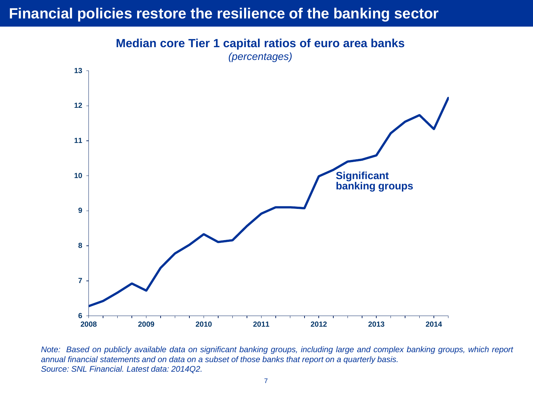## **Financial policies restore the resilience of the banking sector**

**Median core Tier 1 capital ratios of euro area banks** *(percentages)*



Note: Based on publicly available data on significant banking groups, including large and complex banking groups, which report annual financial statements and on data on a subset of those banks that report on a quarterly basis. *Source: SNL Financial. Latest data: 2014Q2.*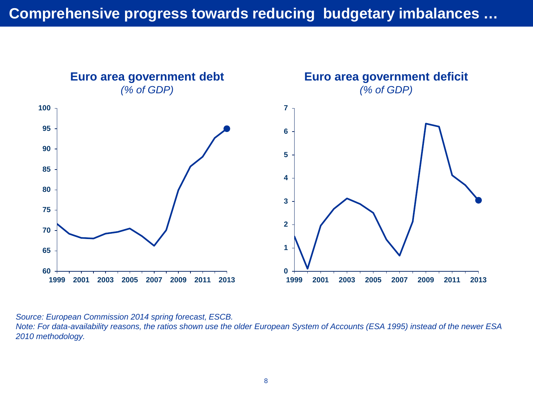

*Source: European Commission 2014 spring forecast, ESCB. Note: For data-availability reasons, the ratios shown use the older European System of Accounts (ESA 1995) instead of the newer ESA 2010 methodology.*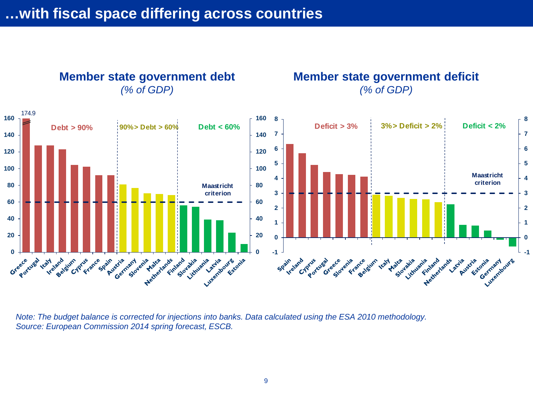

**Member state government deficit** *(% of GDP)*



*Note: The budget balance is corrected for injections into banks. Data calculated using the ESA 2010 methodology. Source: European Commission 2014 spring forecast, ESCB.*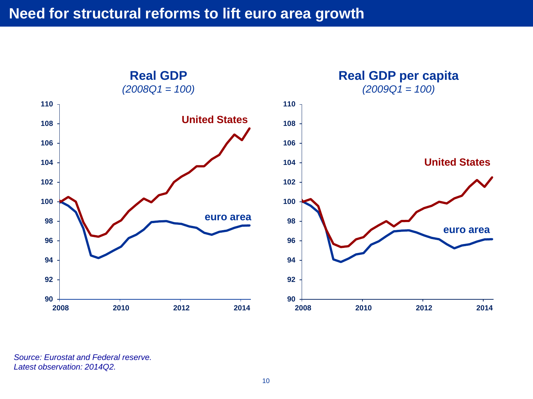

*Source: Eurostat and Federal reserve. Latest observation: 2014Q2.*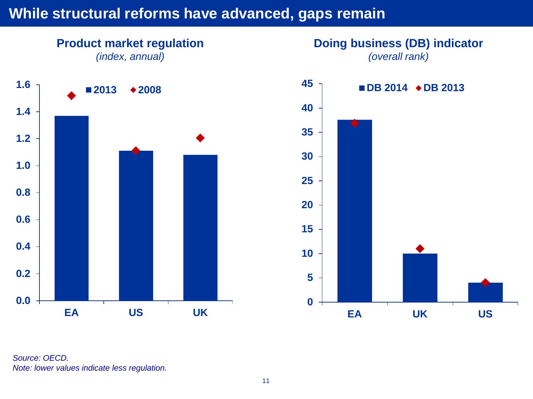#### While structural reforms have advanced, gaps remain





*Source: OECD. Note: lower values indicate less regulation.*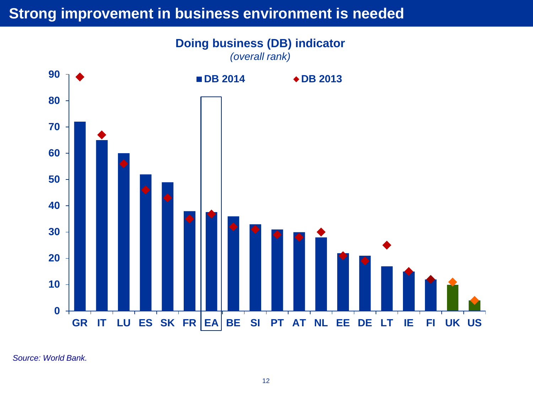#### **Strong improvement in business environment is needed**



*Source: World Bank.*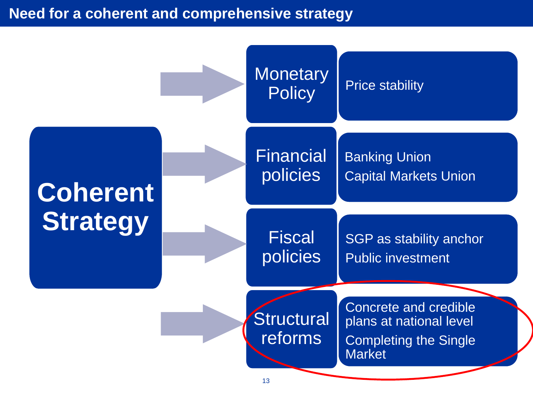## **Need for a coherent and comprehensive strategy**